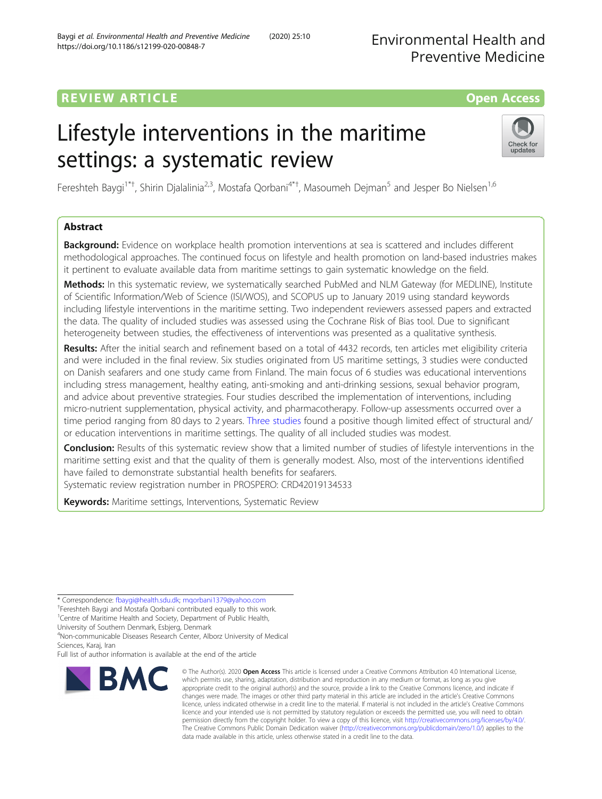# **REVIEW ARTICLE External Structure of the Contract Contract Contract Contract Contract Contract Contract Contract Contract Contract Contract Contract Contract Contract Contract Contract Contract Contract Contract Contrac**

# Lifestyle interventions in the maritime settings: a systematic review



Fereshteh Baygi<sup>1\*†</sup>, Shirin Djalalinia<sup>2,3</sup>, Mostafa Qorbani<sup>4\*†</sup>, Masoumeh Dejman<sup>5</sup> and Jesper Bo Nielsen<sup>1,6</sup>

# Abstract

**Background:** Evidence on workplace health promotion interventions at sea is scattered and includes different methodological approaches. The continued focus on lifestyle and health promotion on land-based industries makes it pertinent to evaluate available data from maritime settings to gain systematic knowledge on the field.

Methods: In this systematic review, we systematically searched PubMed and NLM Gateway (for MEDLINE), Institute of Scientific Information/Web of Science (ISI/WOS), and SCOPUS up to January 2019 using standard keywords including lifestyle interventions in the maritime setting. Two independent reviewers assessed papers and extracted the data. The quality of included studies was assessed using the Cochrane Risk of Bias tool. Due to significant heterogeneity between studies, the effectiveness of interventions was presented as a qualitative synthesis.

Results: After the initial search and refinement based on a total of 4432 records, ten articles met eligibility criteria and were included in the final review. Six studies originated from US maritime settings, 3 studies were conducted on Danish seafarers and one study came from Finland. The main focus of 6 studies was educational interventions including stress management, healthy eating, anti-smoking and anti-drinking sessions, sexual behavior program, and advice about preventive strategies. Four studies described the implementation of interventions, including micro-nutrient supplementation, physical activity, and pharmacotherapy. Follow-up assessments occurred over a time period ranging from 80 days to 2 years. [Three studies](https://www.sciencedirect.com/topics/medicine-and-dentistry/intervention-study) found a positive though limited effect of structural and/ or education interventions in maritime settings. The quality of all included studies was modest.

Conclusion: Results of this systematic review show that a limited number of studies of lifestyle interventions in the maritime setting exist and that the quality of them is generally modest. Also, most of the interventions identified have failed to demonstrate substantial health benefits for seafarers. Systematic review registration number in PROSPERO: CRD42019134533

Keywords: Maritime settings, Interventions, Systematic Review

\* Correspondence: [fbaygi@health.sdu.dk](mailto:fbaygi@health.sdu.dk); [mqorbani1379@yahoo.com](mailto:mqorbani1379@yahoo.com) †

<sup>+</sup>Fereshteh Baygi and Mostafa Qorbani contributed equally to this work.

<sup>1</sup> Centre of Maritime Health and Society, Department of Public Health,

University of Southern Denmark, Esbjerg, Denmark

4 Non-communicable Diseases Research Center, Alborz University of Medical Sciences, Karaj, Iran

Full list of author information is available at the end of the article



<sup>©</sup> The Author(s), 2020 **Open Access** This article is licensed under a Creative Commons Attribution 4.0 International License, which permits use, sharing, adaptation, distribution and reproduction in any medium or format, as long as you give appropriate credit to the original author(s) and the source, provide a link to the Creative Commons licence, and indicate if changes were made. The images or other third party material in this article are included in the article's Creative Commons licence, unless indicated otherwise in a credit line to the material. If material is not included in the article's Creative Commons licence and your intended use is not permitted by statutory regulation or exceeds the permitted use, you will need to obtain permission directly from the copyright holder. To view a copy of this licence, visit [http://creativecommons.org/licenses/by/4.0/.](http://creativecommons.org/licenses/by/4.0/) The Creative Commons Public Domain Dedication waiver [\(http://creativecommons.org/publicdomain/zero/1.0/](http://creativecommons.org/publicdomain/zero/1.0/)) applies to the data made available in this article, unless otherwise stated in a credit line to the data.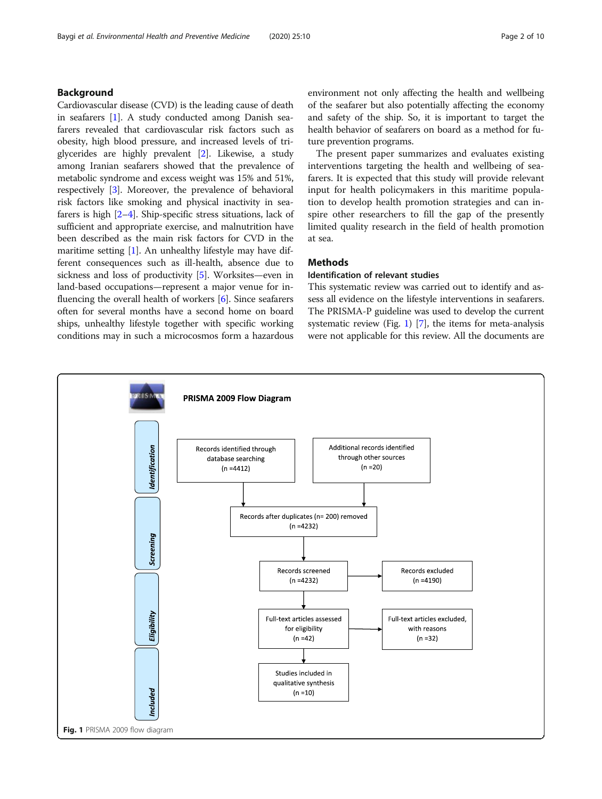# <span id="page-1-0"></span>Background

Cardiovascular disease (CVD) is the leading cause of death in seafarers [\[1](#page-9-0)]. A study conducted among Danish seafarers revealed that cardiovascular risk factors such as obesity, high blood pressure, and increased levels of triglycerides are highly prevalent [[2\]](#page-9-0). Likewise, a study among Iranian seafarers showed that the prevalence of metabolic syndrome and excess weight was 15% and 51%, respectively [\[3\]](#page-9-0). Moreover, the prevalence of behavioral risk factors like smoking and physical inactivity in seafarers is high [\[2](#page-9-0)–[4](#page-9-0)]. Ship-specific stress situations, lack of sufficient and appropriate exercise, and malnutrition have been described as the main risk factors for CVD in the maritime setting [[1](#page-9-0)]. An unhealthy lifestyle may have different consequences such as ill-health, absence due to sickness and loss of productivity [\[5\]](#page-9-0). Worksites—even in land-based occupations—represent a major venue for influencing the overall health of workers [\[6](#page-9-0)]. Since seafarers often for several months have a second home on board ships, unhealthy lifestyle together with specific working conditions may in such a microcosmos form a hazardous

environment not only affecting the health and wellbeing of the seafarer but also potentially affecting the economy and safety of the ship. So, it is important to target the health behavior of seafarers on board as a method for future prevention programs.

The present paper summarizes and evaluates existing interventions targeting the health and wellbeing of seafarers. It is expected that this study will provide relevant input for health policymakers in this maritime population to develop health promotion strategies and can inspire other researchers to fill the gap of the presently limited quality research in the field of health promotion at sea.

# **Methods**

# Identification of relevant studies

This systematic review was carried out to identify and assess all evidence on the lifestyle interventions in seafarers. The PRISMA-P guideline was used to develop the current systematic review (Fig. 1) [[7](#page-9-0)], the items for meta-analysis were not applicable for this review. All the documents are

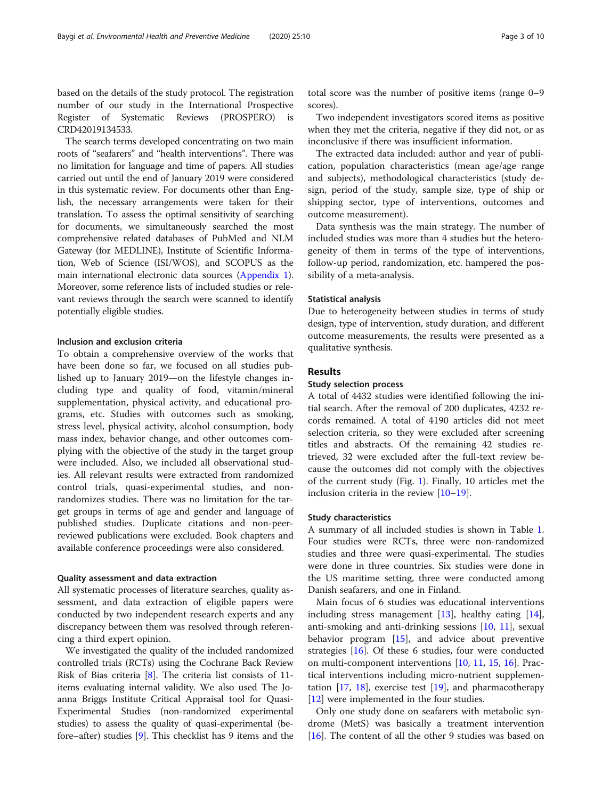based on the details of the study protocol. The registration number of our study in the International Prospective Register of Systematic Reviews (PROSPERO) is CRD42019134533.

The search terms developed concentrating on two main roots of "seafarers" and "health interventions". There was no limitation for language and time of papers. All studies carried out until the end of January 2019 were considered in this systematic review. For documents other than English, the necessary arrangements were taken for their translation. To assess the optimal sensitivity of searching for documents, we simultaneously searched the most comprehensive related databases of PubMed and NLM Gateway (for MEDLINE), Institute of Scientific Information, Web of Science (ISI/WOS), and SCOPUS as the main international electronic data sources [\(Appendix 1](#page-8-0)). Moreover, some reference lists of included studies or relevant reviews through the search were scanned to identify potentially eligible studies.

# Inclusion and exclusion criteria

To obtain a comprehensive overview of the works that have been done so far, we focused on all studies published up to January 2019—on the lifestyle changes including type and quality of food, vitamin/mineral supplementation, physical activity, and educational programs, etc. Studies with outcomes such as smoking, stress level, physical activity, alcohol consumption, body mass index, behavior change, and other outcomes complying with the objective of the study in the target group were included. Also, we included all observational studies. All relevant results were extracted from randomized control trials, quasi-experimental studies, and nonrandomizes studies. There was no limitation for the target groups in terms of age and gender and language of published studies. Duplicate citations and non-peerreviewed publications were excluded. Book chapters and available conference proceedings were also considered.

# Quality assessment and data extraction

All systematic processes of literature searches, quality assessment, and data extraction of eligible papers were conducted by two independent research experts and any discrepancy between them was resolved through referencing a third expert opinion.

We investigated the quality of the included randomized controlled trials (RCTs) using the Cochrane Back Review Risk of Bias criteria [\[8](#page-9-0)]. The criteria list consists of 11 items evaluating internal validity. We also used The Joanna Briggs Institute Critical Appraisal tool for Quasi-Experimental Studies (non-randomized experimental studies) to assess the quality of quasi-experimental (before–after) studies [[9\]](#page-9-0). This checklist has 9 items and the

total score was the number of positive items (range 0–9 scores).

Two independent investigators scored items as positive when they met the criteria, negative if they did not, or as inconclusive if there was insufficient information.

The extracted data included: author and year of publication, population characteristics (mean age/age range and subjects), methodological characteristics (study design, period of the study, sample size, type of ship or shipping sector, type of interventions, outcomes and outcome measurement).

Data synthesis was the main strategy. The number of included studies was more than 4 studies but the heterogeneity of them in terms of the type of interventions, follow-up period, randomization, etc. hampered the possibility of a meta-analysis.

#### Statistical analysis

Due to heterogeneity between studies in terms of study design, type of intervention, study duration, and different outcome measurements, the results were presented as a qualitative synthesis.

### Results

# Study selection process

A total of 4432 studies were identified following the initial search. After the removal of 200 duplicates, 4232 records remained. A total of 4190 articles did not meet selection criteria, so they were excluded after screening titles and abstracts. Of the remaining 42 studies retrieved, 32 were excluded after the full-text review because the outcomes did not comply with the objectives of the current study (Fig. [1](#page-1-0)). Finally, 10 articles met the inclusion criteria in the review [[10](#page-9-0)–[19](#page-9-0)].

# Study characteristics

A summary of all included studies is shown in Table [1](#page-3-0). Four studies were RCTs, three were non-randomized studies and three were quasi-experimental. The studies were done in three countries. Six studies were done in the US maritime setting, three were conducted among Danish seafarers, and one in Finland.

Main focus of 6 studies was educational interventions including stress management  $[13]$ , healthy eating  $[14]$  $[14]$ , anti-smoking and anti-drinking sessions [\[10](#page-9-0), [11](#page-9-0)], sexual behavior program [\[15\]](#page-9-0), and advice about preventive strategies [[16\]](#page-9-0). Of these 6 studies, four were conducted on multi-component interventions [\[10](#page-9-0), [11](#page-9-0), [15](#page-9-0), [16\]](#page-9-0). Practical interventions including micro-nutrient supplementation  $[17, 18]$  $[17, 18]$  $[17, 18]$  $[17, 18]$ , exercise test  $[19]$ , and pharmacotherapy [[12\]](#page-9-0) were implemented in the four studies.

Only one study done on seafarers with metabolic syndrome (MetS) was basically a treatment intervention [[16\]](#page-9-0). The content of all the other 9 studies was based on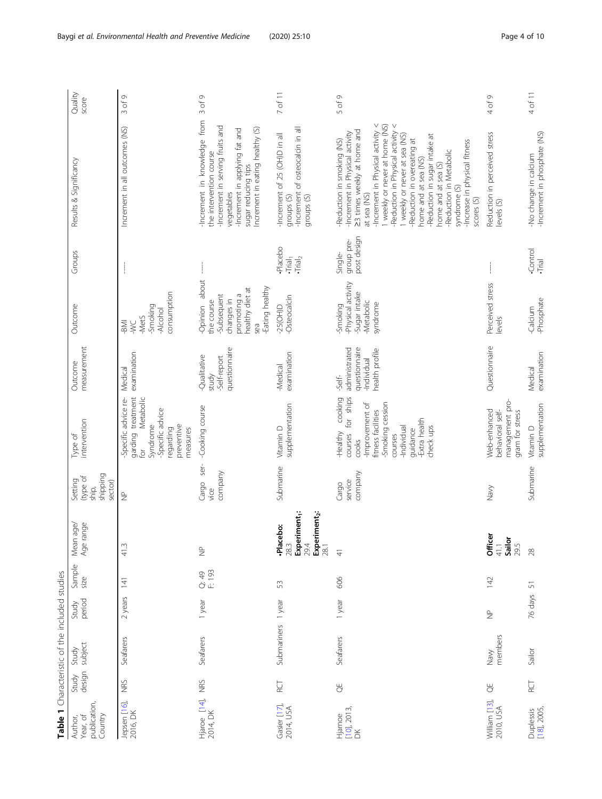<span id="page-3-0"></span>

|                                                |                 | Table 1 Characteristic of the included studies |                  |                  |                                                                                            |                                                     |                                                                                                                                                                                       |                                                                           |                                                                                                                       |                                                                            |                                                                                                                                                                                                                                                                                                                                                                                                                                                                      |                  |
|------------------------------------------------|-----------------|------------------------------------------------|------------------|------------------|--------------------------------------------------------------------------------------------|-----------------------------------------------------|---------------------------------------------------------------------------------------------------------------------------------------------------------------------------------------|---------------------------------------------------------------------------|-----------------------------------------------------------------------------------------------------------------------|----------------------------------------------------------------------------|----------------------------------------------------------------------------------------------------------------------------------------------------------------------------------------------------------------------------------------------------------------------------------------------------------------------------------------------------------------------------------------------------------------------------------------------------------------------|------------------|
| publication,<br>Country<br>Year, of<br>Author, | design<br>Study | subject<br>Study                               | period<br>Study  | Sample<br>size   | Mean age/<br>range<br>Age r                                                                | shipping<br>Setting<br>(type of<br>sector)<br>ship, | intervention<br>Type of                                                                                                                                                               | measurement<br>Outcome                                                    | Outcome                                                                                                               | Groups                                                                     | Results & Significancy                                                                                                                                                                                                                                                                                                                                                                                                                                               | Quality<br>score |
| Jepsen [16],<br>2016, DK                       | <b>NRS</b>      | Seafarers                                      | 2 years          | $\overline{141}$ | 41.3                                                                                       | $\frac{\rho}{\mathcal{Z}}$                          | garding treatment<br>Specific advice re-<br>Metabolic<br>Specific advice<br>preventive<br>Syndrome<br>regarding<br>measures<br>Ğ                                                      | examination<br>Medical                                                    | consumption<br>-Smoking<br>-Alcohol<br>-Met <sub>S</sub><br>IMR-<br>$\geqslant$                                       |                                                                            | Increment in all outcomes (NS)                                                                                                                                                                                                                                                                                                                                                                                                                                       | $3$ of $9$       |
| Hjaroe [14], NRS<br>2014, DK                   |                 | Seafarers                                      | 1 year           | Q: 49<br>F: 193  | $\frac{\rho}{Z}$                                                                           | ser-<br>company<br>Cargo<br>vice                    | -Cooking course                                                                                                                                                                       | questionnaire<br>Qualitative<br>-Self-report<br>study                     | -Opinion about<br>-Eating healthy<br>healthy diet at<br>promoting a<br>-Subsequent<br>changes in<br>the course<br>sea |                                                                            | Increment in knowledge from<br>Increment in serving fruits and<br>Increment in eating healthy (S)<br>Increment in applying fat and<br>the intervention course<br>sugar reducing tips<br>vegetables                                                                                                                                                                                                                                                                   | $3$ of 9         |
| Gasier [17],<br>2014, USA                      | <b>RCT</b>      | Submariners 1 year                             |                  | 53               | Experiment <sub>1</sub> :<br>Experiment <sub>2</sub> :<br>.Placebo:<br>29.4<br>283<br>28.1 | Submarine                                           | supplementation<br>Vitamin D                                                                                                                                                          | examination<br>-Medical                                                   | <b>Osteocalcin</b><br>$-25(OH)D$                                                                                      | Placebo<br>$\cdot$ Trial <sub>1</sub><br>$\cdot$ Tria $\vert$ <sub>2</sub> | -Increment of osteocalcin in all<br>-Increment of 25 (OH)D in all<br>groups (S)<br>groups (S)                                                                                                                                                                                                                                                                                                                                                                        | 7 of 11          |
| Hjarnoe<br>[10], 2013,<br>DK                   | $\overline{d}$  | Seafarers                                      | 1 year           | 606              | $\frac{4}{3}$                                                                              | company<br>service<br>Cargo                         | cooking<br>for ships<br>Smoking cession<br>-Improvement of<br>fitness facilities<br>-Extra health<br>Individual<br>check ups<br>quidance<br>Healthy<br>courses<br>courses<br>$c$ ooks | administrated<br>questionnaire<br>health profile<br>-Individual<br>-Self- | -Physical activity<br>-Sugar intake<br>-Metabolic<br>syndrome<br>Smoking                                              | post design<br>group pre-<br>Single-                                       | -Increment in Physical activity $\lt$<br>1 weekly or never at home (NS)<br>-Reduction in Physical activity <<br>23 times weekly at home and<br>-Increment in Physical activity<br>1 weekly or never at sea (NS)<br>-Reduction in sugar intake at<br>-Reduction in overeating at<br>Reduction in smoking (NS)<br>-Increase in physical fitness<br>-Reduction in Metabolic<br>home and at sea (NS)<br>home and at sea (S)<br>syndrome (S)<br>at sea (NS)<br>scores (S) | 5 of 9           |
| William [13],<br>2010, USA                     | Ő               | members<br>New                                 | $\frac{\rho}{Z}$ | 142              | Officer<br>Sailor<br>41.1<br>295                                                           | Navy                                                | management pro-<br>Web-enhanced<br>gram for stress<br>behavioral self-                                                                                                                | Questionnaire                                                             | Perceived stress<br>levels                                                                                            |                                                                            | Reduction in perceived stress<br>levels (S)                                                                                                                                                                                                                                                                                                                                                                                                                          | 4 of 9           |
| Duplessis<br>[18], 2005,                       | RCT             | Sailor                                         | 76 days          | $\overline{5}$   | 28                                                                                         | Submarine                                           | supplementation<br>Vitamin D                                                                                                                                                          | examination<br>Medical                                                    | -Phosphate<br>-Calcium                                                                                                | Control<br>$T$ rial                                                        | -Increment in phosphate (NS)<br>-No change in calcium                                                                                                                                                                                                                                                                                                                                                                                                                | 4 of 11          |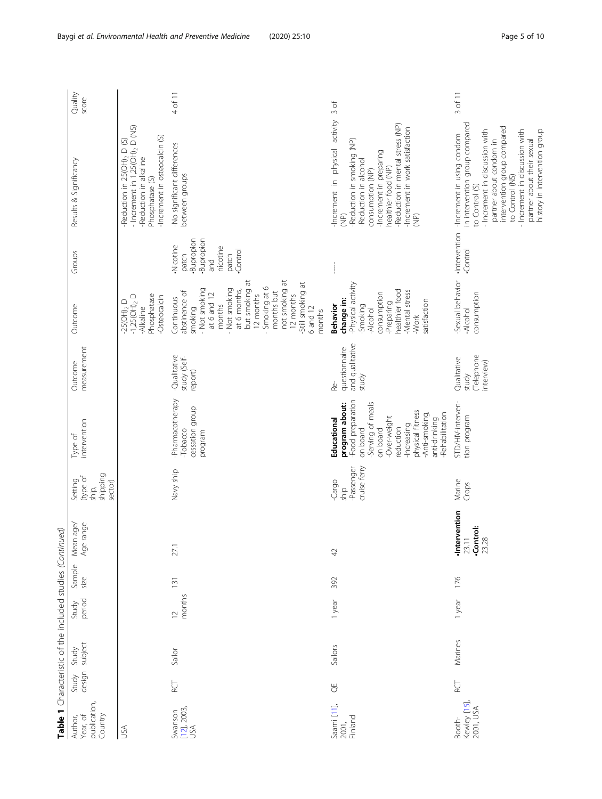|                                                |                | Table 1 Characteristic of the included studies (Continued) |                       |                     |                                              |                                                    |                                                                                                                                                                                                                  |                                                  |                                                                                                                                                                                                                                                          |                                                                                    |                                                                                                                                                                                                                                                                                                |                  |
|------------------------------------------------|----------------|------------------------------------------------------------|-----------------------|---------------------|----------------------------------------------|----------------------------------------------------|------------------------------------------------------------------------------------------------------------------------------------------------------------------------------------------------------------------|--------------------------------------------------|----------------------------------------------------------------------------------------------------------------------------------------------------------------------------------------------------------------------------------------------------------|------------------------------------------------------------------------------------|------------------------------------------------------------------------------------------------------------------------------------------------------------------------------------------------------------------------------------------------------------------------------------------------|------------------|
| publication,<br>Country<br>Year, of<br>Author, | Study          | design subject<br>Study                                    | period<br>Study       | Sample Mean<br>size | age/<br>Age range                            | shipping<br>type of<br>Setting<br>sector)<br>ship, | intervention<br>Type of                                                                                                                                                                                          | measurement<br>Outcome                           | Outcome                                                                                                                                                                                                                                                  | Groups                                                                             | Results & Significancy                                                                                                                                                                                                                                                                         | Quality<br>score |
| USA                                            |                |                                                            |                       |                     |                                              |                                                    |                                                                                                                                                                                                                  |                                                  | Phosphatase<br>$-1,25(OH)_2 D$<br>-Osteocalcin<br>$-25(OH)2$ D<br>-Alkaline                                                                                                                                                                              |                                                                                    | - Increment in $1,25$ (OH) <sub>2</sub> D (NS)<br>Increment in osteocalcin (S)<br>$\odot$<br>Reduction in 25(OH)2 D<br>Reduction in alkaline<br>Phosphatase (S)                                                                                                                                |                  |
| Swanson<br>[12], 2003,<br>USA                  | <b>D</b>       | Sailor                                                     | months<br>$\supseteq$ | 131                 | 27.1                                         | Navy ship                                          | -Pharmacotherapy<br>cessation group<br>-Tobacco<br>program                                                                                                                                                       | Qualitative<br>study (Self-<br>report)           | not smoking at<br>but smoking at<br>-Still smoking at<br>Smoking at 6<br>- Not smoking<br>- Not smoking<br>at 6 months,<br>abstinence of<br>months but<br>at 6 and 12<br>12 months<br>12 months<br>Continuous<br>months<br>smoking<br>6 and 12<br>months | Bupropion<br>Bupropion<br>Nicotine<br>nicotine<br>Control<br>patch<br>patch<br>and | -No significant differences<br>between groups                                                                                                                                                                                                                                                  | $4$ of 11        |
| Saami [11],<br>2001,<br>Finland                | $\overline{O}$ | Sailors                                                    | 1 year                | 392                 | 42                                           | -Passenger<br>cruise ferry<br>-Cargo<br>ship       | Food preparation<br>program about:<br>Serving of meals<br>physical fitness<br>Anti-smoking,<br>Rehabilitation<br>-Over-weight<br>anti-drinking<br>Educational<br>Increasing<br>reduction<br>on board<br>on board | and qualitative<br>questionnaire<br>study<br>œ   | -Physical activity<br>-Preparing<br>healthier food<br>-Mental stress<br>consumption<br>change in:<br>satisfaction<br>Smoking<br><b>Behavior</b><br>Alcohol<br>-Work                                                                                      |                                                                                    | -Increment in physical activity<br>(NP)<br>Reduction in mental stress (NP)<br>Increment in work satisfaction<br>Reduction in smoking (NP)<br>Increment in preparing<br>Reduction in alcohol<br>healthier food (NP)<br>consumption (NP)<br>$\widetilde{E}$                                      | $3$ of           |
| Kewley [15],<br>2001, USA<br>Booth-            | RCT            | Marines                                                    | 1 year                | 176                 | ·Intervention:<br>Control:<br>23.11<br>23.28 | Marine<br>Crops                                    | STD/HIV-interven-<br>tion program                                                                                                                                                                                | (Telephone<br>Qualitative<br>interview)<br>study | Sexual behavior<br>consumption<br>-Alcohol                                                                                                                                                                                                               | .Intervention<br>Control                                                           | in intervention group compared<br>intervention group compared<br>- Increment in discussion with<br>- Increment in discussion with<br>history in intervention group<br>-Increment in using condom<br>partner about their sexual<br>partner about condom in<br>to Control (NS)<br>to Control (S) | $3$ of $11$      |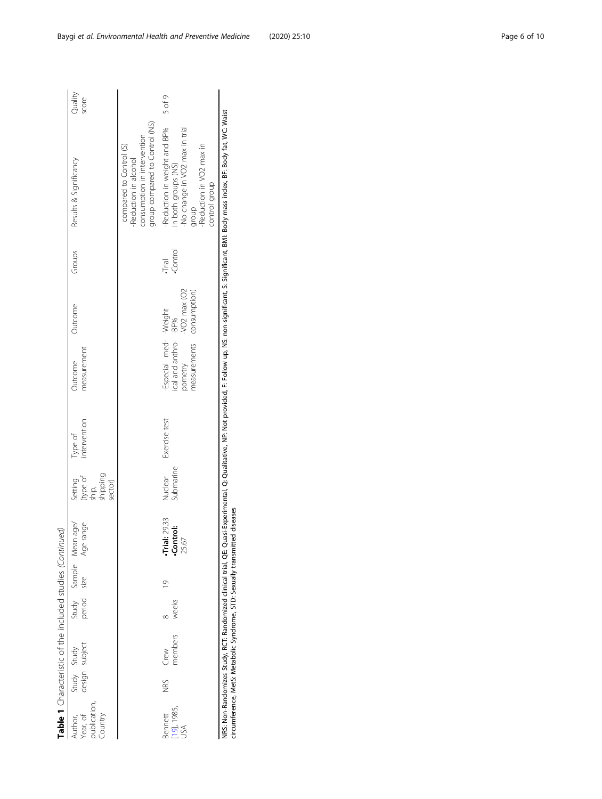|                                                 |     | Table 1 Characteristic of the included studies (Continued) |       |               |                                                 |                                                    |                         |                                                                               |                                                     |                  |                                                                                                                                             |                  |
|-------------------------------------------------|-----|------------------------------------------------------------|-------|---------------|-------------------------------------------------|----------------------------------------------------|-------------------------|-------------------------------------------------------------------------------|-----------------------------------------------------|------------------|---------------------------------------------------------------------------------------------------------------------------------------------|------------------|
| continuation,<br>Author,<br>Year, of<br>Country |     | Study Study<br>design subject                              |       |               | Study Sample Mean age/<br>period size Age range | shipping<br>type of<br>ship,<br>Setting<br>sector) | Type of<br>intervention | measurement<br>Outcome                                                        | <b>Dutcome</b>                                      | Groups           | Results & Significancy                                                                                                                      | Quality<br>score |
|                                                 |     |                                                            |       |               |                                                 |                                                    |                         |                                                                               |                                                     |                  | group compared to Control (NS)<br>consumption in intervention<br>compared to Control (S)<br>Reduction in alcohol                            |                  |
| [19], 1985,<br>USA<br>Bennett                   | NRS | nembers<br>Crew                                            | weeks | $\frac{1}{2}$ | Trial: 29.33<br>Control:<br>25.67               | Submarine<br>Nuclear                               | Exercise test           | -Especial med-<br>-Weight<br>ical and anthro- -BF%<br>measurements<br>pometry | VO <sub>2</sub> max (O <sub>2</sub><br>consumption) | Control<br>Trial | -Reduction in weight and BF%<br>-No change in VO2 max in trial<br>group<br>-Reduction in VO2 max in<br>in both groups (NS)<br>control group | 5 of 9           |

NRS: Non-Randomizes Study, RCT: Randomized clinical trial, QE: Quasi-Experimental, Q: Qualitative, NP: Not provided, F: Follow up, NS: non-significant, S: Significant, BMI: Body mass index, BF: Body fat, WC: Waist

NRS: Non-Randomizes Study, RCT: Randomized clinical trial, QE: Quasi-Experimental, Q: Qualitative, NP: Not provided, F: Follow up, NS: non-significant, S: Significant, BMI: Body mass index, BF: Body fat, WC: Waist<br>circumfe

circumference, MetS: Metabolic Syndrome, STD: Sexually transmitted diseases

Baygi et al. Environmental Health and Preventive Medicine (2020) 25:10 entitled to the Shage 6 of 10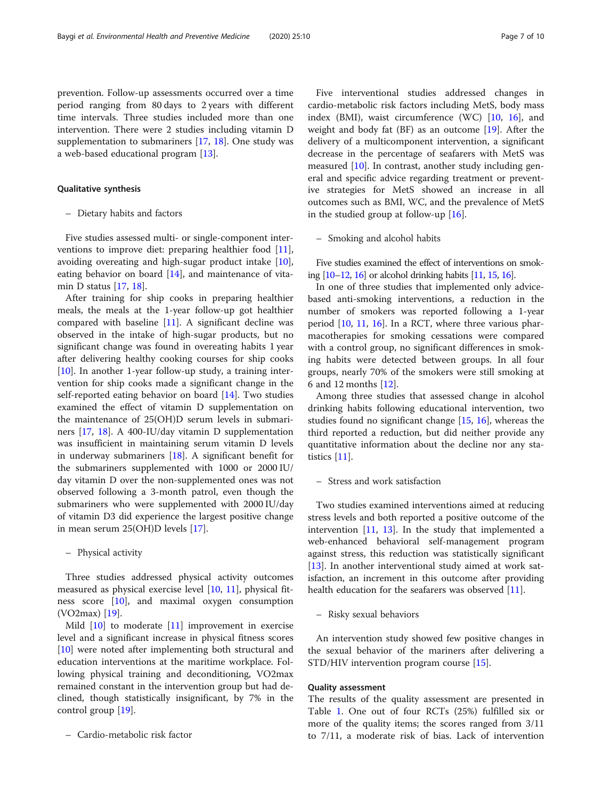prevention. Follow-up assessments occurred over a time period ranging from 80 days to 2 years with different time intervals. Three studies included more than one intervention. There were 2 studies including vitamin D supplementation to submariners [\[17](#page-9-0), [18](#page-9-0)]. One study was a web-based educational program [[13\]](#page-9-0).

# Qualitative synthesis

– Dietary habits and factors

Five studies assessed multi- or single-component interventions to improve diet: preparing healthier food [\[11](#page-9-0)], avoiding overeating and high-sugar product intake [\[10](#page-9-0)], eating behavior on board [[14\]](#page-9-0), and maintenance of vitamin D status [[17](#page-9-0), [18](#page-9-0)].

After training for ship cooks in preparing healthier meals, the meals at the 1-year follow-up got healthier compared with baseline [[11](#page-9-0)]. A significant decline was observed in the intake of high-sugar products, but no significant change was found in overeating habits 1 year after delivering healthy cooking courses for ship cooks [ $10$ ]. In another 1-year follow-up study, a training intervention for ship cooks made a significant change in the self-reported eating behavior on board [\[14\]](#page-9-0). Two studies examined the effect of vitamin D supplementation on the maintenance of 25(OH)D serum levels in submariners [[17,](#page-9-0) [18\]](#page-9-0). A 400-IU/day vitamin D supplementation was insufficient in maintaining serum vitamin D levels in underway submariners [\[18](#page-9-0)]. A significant benefit for the submariners supplemented with 1000 or 2000 IU/ day vitamin D over the non-supplemented ones was not observed following a 3-month patrol, even though the submariners who were supplemented with 2000 IU/day of vitamin D3 did experience the largest positive change in mean serum 25(OH)D levels [\[17\]](#page-9-0).

– Physical activity

Three studies addressed physical activity outcomes measured as physical exercise level [\[10](#page-9-0), [11](#page-9-0)], physical fitness score [\[10](#page-9-0)], and maximal oxygen consumption (VO2max) [[19\]](#page-9-0).

Mild [[10\]](#page-9-0) to moderate [[11](#page-9-0)] improvement in exercise level and a significant increase in physical fitness scores [[10\]](#page-9-0) were noted after implementing both structural and education interventions at the maritime workplace. Following physical training and deconditioning, VO2max remained constant in the intervention group but had declined, though statistically insignificant, by 7% in the control group [\[19](#page-9-0)].

– Cardio-metabolic risk factor

Five interventional studies addressed changes in cardio-metabolic risk factors including MetS, body mass index (BMI), waist circumference (WC) [[10](#page-9-0), [16\]](#page-9-0), and weight and body fat (BF) as an outcome [[19\]](#page-9-0). After the delivery of a multicomponent intervention, a significant decrease in the percentage of seafarers with MetS was measured [\[10](#page-9-0)]. In contrast, another study including general and specific advice regarding treatment or preventive strategies for MetS showed an increase in all outcomes such as BMI, WC, and the prevalence of MetS in the studied group at follow-up  $[16]$  $[16]$ .

– Smoking and alcohol habits

Five studies examined the effect of interventions on smoking [\[10](#page-9-0)–[12](#page-9-0), [16\]](#page-9-0) or alcohol drinking habits [\[11](#page-9-0), [15,](#page-9-0) [16\]](#page-9-0).

In one of three studies that implemented only advicebased anti-smoking interventions, a reduction in the number of smokers was reported following a 1-year period [\[10](#page-9-0), [11,](#page-9-0) [16\]](#page-9-0). In a RCT, where three various pharmacotherapies for smoking cessations were compared with a control group, no significant differences in smoking habits were detected between groups. In all four groups, nearly 70% of the smokers were still smoking at 6 and 12 months [\[12](#page-9-0)].

Among three studies that assessed change in alcohol drinking habits following educational intervention, two studies found no significant change [\[15](#page-9-0), [16](#page-9-0)], whereas the third reported a reduction, but did neither provide any quantitative information about the decline nor any statistics [\[11](#page-9-0)].

# – Stress and work satisfaction

Two studies examined interventions aimed at reducing stress levels and both reported a positive outcome of the intervention [\[11](#page-9-0), [13\]](#page-9-0). In the study that implemented a web-enhanced behavioral self-management program against stress, this reduction was statistically significant [[13\]](#page-9-0). In another interventional study aimed at work satisfaction, an increment in this outcome after providing health education for the seafarers was observed [[11\]](#page-9-0).

– Risky sexual behaviors

An intervention study showed few positive changes in the sexual behavior of the mariners after delivering a STD/HIV intervention program course [[15\]](#page-9-0).

# Quality assessment

The results of the quality assessment are presented in Table [1.](#page-3-0) One out of four RCTs (25%) fulfilled six or more of the quality items; the scores ranged from 3/11 to 7/11, a moderate risk of bias. Lack of intervention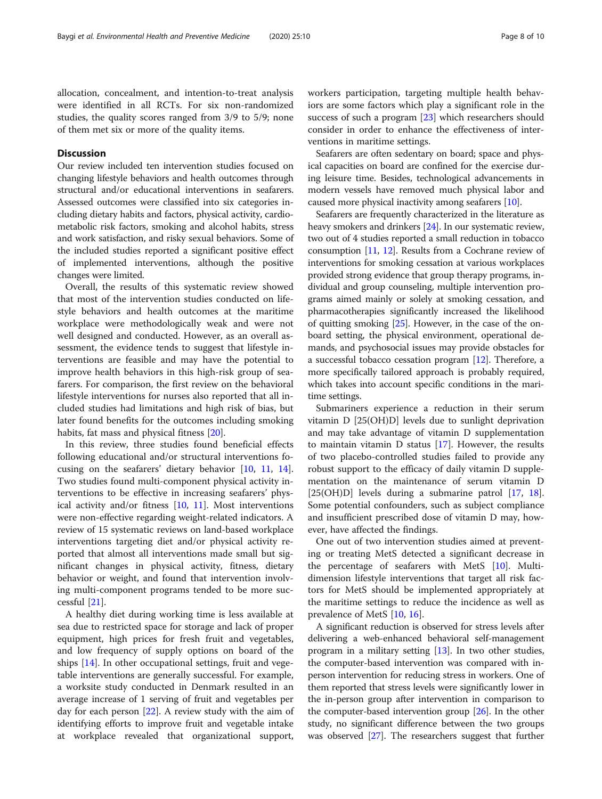allocation, concealment, and intention-to-treat analysis were identified in all RCTs. For six non-randomized studies, the quality scores ranged from 3/9 to 5/9; none of them met six or more of the quality items.

# **Discussion**

Our review included ten intervention studies focused on changing lifestyle behaviors and health outcomes through structural and/or educational interventions in seafarers. Assessed outcomes were classified into six categories including dietary habits and factors, physical activity, cardiometabolic risk factors, smoking and alcohol habits, stress and work satisfaction, and risky sexual behaviors. Some of the included studies reported a significant positive effect of implemented interventions, although the positive changes were limited.

Overall, the results of this systematic review showed that most of the intervention studies conducted on lifestyle behaviors and health outcomes at the maritime workplace were methodologically weak and were not well designed and conducted. However, as an overall assessment, the evidence tends to suggest that lifestyle interventions are feasible and may have the potential to improve health behaviors in this high-risk group of seafarers. For comparison, the first review on the behavioral lifestyle interventions for nurses also reported that all included studies had limitations and high risk of bias, but later found benefits for the outcomes including smoking habits, fat mass and physical fitness [\[20\]](#page-9-0).

In this review, three studies found beneficial effects following educational and/or structural interventions focusing on the seafarers' dietary behavior [\[10,](#page-9-0) [11](#page-9-0), [14](#page-9-0)]. Two studies found multi-component physical activity interventions to be effective in increasing seafarers' physical activity and/or fitness [[10,](#page-9-0) [11](#page-9-0)]. Most interventions were non-effective regarding weight-related indicators. A review of 15 systematic reviews on land-based workplace interventions targeting diet and/or physical activity reported that almost all interventions made small but significant changes in physical activity, fitness, dietary behavior or weight, and found that intervention involving multi-component programs tended to be more successful [[21\]](#page-9-0).

A healthy diet during working time is less available at sea due to restricted space for storage and lack of proper equipment, high prices for fresh fruit and vegetables, and low frequency of supply options on board of the ships [[14](#page-9-0)]. In other occupational settings, fruit and vegetable interventions are generally successful. For example, a worksite study conducted in Denmark resulted in an average increase of 1 serving of fruit and vegetables per day for each person [\[22](#page-9-0)]. A review study with the aim of identifying efforts to improve fruit and vegetable intake at workplace revealed that organizational support, workers participation, targeting multiple health behaviors are some factors which play a significant role in the success of such a program [[23\]](#page-9-0) which researchers should consider in order to enhance the effectiveness of interventions in maritime settings.

Seafarers are often sedentary on board; space and physical capacities on board are confined for the exercise during leisure time. Besides, technological advancements in modern vessels have removed much physical labor and caused more physical inactivity among seafarers [[10](#page-9-0)].

Seafarers are frequently characterized in the literature as heavy smokers and drinkers [[24](#page-9-0)]. In our systematic review, two out of 4 studies reported a small reduction in tobacco consumption [[11](#page-9-0), [12\]](#page-9-0). Results from a Cochrane review of interventions for smoking cessation at various workplaces provided strong evidence that group therapy programs, individual and group counseling, multiple intervention programs aimed mainly or solely at smoking cessation, and pharmacotherapies significantly increased the likelihood of quitting smoking [\[25\]](#page-9-0). However, in the case of the onboard setting, the physical environment, operational demands, and psychosocial issues may provide obstacles for a successful tobacco cessation program [[12](#page-9-0)]. Therefore, a more specifically tailored approach is probably required, which takes into account specific conditions in the maritime settings.

Submariners experience a reduction in their serum vitamin D [25(OH)D] levels due to sunlight deprivation and may take advantage of vitamin D supplementation to maintain vitamin D status [\[17](#page-9-0)]. However, the results of two placebo-controlled studies failed to provide any robust support to the efficacy of daily vitamin D supplementation on the maintenance of serum vitamin D [25(OH)D] levels during a submarine patrol [\[17,](#page-9-0) [18](#page-9-0)]. Some potential confounders, such as subject compliance and insufficient prescribed dose of vitamin D may, however, have affected the findings.

One out of two intervention studies aimed at preventing or treating MetS detected a significant decrease in the percentage of seafarers with MetS [\[10\]](#page-9-0). Multidimension lifestyle interventions that target all risk factors for MetS should be implemented appropriately at the maritime settings to reduce the incidence as well as prevalence of MetS [[10,](#page-9-0) [16](#page-9-0)].

A significant reduction is observed for stress levels after delivering a web-enhanced behavioral self-management program in a military setting  $[13]$  $[13]$  $[13]$ . In two other studies, the computer-based intervention was compared with inperson intervention for reducing stress in workers. One of them reported that stress levels were significantly lower in the in-person group after intervention in comparison to the computer-based intervention group [\[26\]](#page-9-0). In the other study, no significant difference between the two groups was observed [\[27\]](#page-9-0). The researchers suggest that further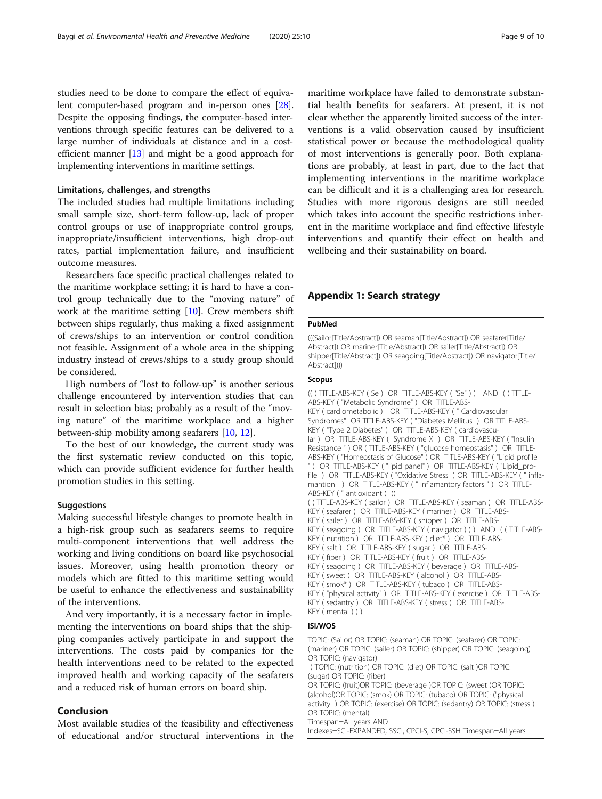<span id="page-8-0"></span>studies need to be done to compare the effect of equivalent computer-based program and in-person ones [[28](#page-9-0)]. Despite the opposing findings, the computer-based interventions through specific features can be delivered to a large number of individuals at distance and in a costefficient manner [\[13\]](#page-9-0) and might be a good approach for implementing interventions in maritime settings.

# Limitations, challenges, and strengths

The included studies had multiple limitations including small sample size, short-term follow-up, lack of proper control groups or use of inappropriate control groups, inappropriate/insufficient interventions, high drop-out rates, partial implementation failure, and insufficient outcome measures.

Researchers face specific practical challenges related to the maritime workplace setting; it is hard to have a control group technically due to the "moving nature" of work at the maritime setting [[10\]](#page-9-0). Crew members shift between ships regularly, thus making a fixed assignment of crews/ships to an intervention or control condition not feasible. Assignment of a whole area in the shipping industry instead of crews/ships to a study group should be considered.

High numbers of "lost to follow-up" is another serious challenge encountered by intervention studies that can result in selection bias; probably as a result of the "moving nature" of the maritime workplace and a higher between-ship mobility among seafarers [[10](#page-9-0), [12](#page-9-0)].

To the best of our knowledge, the current study was the first systematic review conducted on this topic, which can provide sufficient evidence for further health promotion studies in this setting.

# **Suggestions**

Making successful lifestyle changes to promote health in a high-risk group such as seafarers seems to require multi-component interventions that well address the working and living conditions on board like psychosocial issues. Moreover, using health promotion theory or models which are fitted to this maritime setting would be useful to enhance the effectiveness and sustainability of the interventions.

And very importantly, it is a necessary factor in implementing the interventions on board ships that the shipping companies actively participate in and support the interventions. The costs paid by companies for the health interventions need to be related to the expected improved health and working capacity of the seafarers and a reduced risk of human errors on board ship.

# Conclusion

Most available studies of the feasibility and effectiveness of educational and/or structural interventions in the maritime workplace have failed to demonstrate substantial health benefits for seafarers. At present, it is not clear whether the apparently limited success of the interventions is a valid observation caused by insufficient statistical power or because the methodological quality of most interventions is generally poor. Both explanations are probably, at least in part, due to the fact that implementing interventions in the maritime workplace can be difficult and it is a challenging area for research. Studies with more rigorous designs are still needed which takes into account the specific restrictions inherent in the maritime workplace and find effective lifestyle interventions and quantify their effect on health and wellbeing and their sustainability on board.

# Appendix 1: Search strategy

#### PubMed

(((Sailor[Title/Abstract]) OR seaman[Title/Abstract]) OR seafarer[Title/ Abstract]) OR mariner[Title/Abstract]) OR sailer[Title/Abstract]) OR shipper[Title/Abstract]) OR seagoing[Title/Abstract]) OR navigator[Title/ Abstract])))

#### Scopus

(( ( TITLE-ABS-KEY ( Se ) OR TITLE-ABS-KEY ( "Se" ) ) AND ( ( TITLE-ABS-KEY ( "Metabolic Syndrome" ) OR TITLE-ABS-KEY ( cardiometabolic ) OR TITLE-ABS-KEY ( " Cardiovascular Syndromes" OR TITLE-ABS-KEY ( "Diabetes Mellitus" ) OR TITLE-ABS-KEY ( "Type 2 Diabetes" ) OR TITLE-ABS-KEY ( cardiovascular ) OR TITLE-ABS-KEY ( "Syndrome X" ) OR TITLE-ABS-KEY ( "Insulin Resistance " ) OR ( TITLE-ABS-KEY ( "glucose homeostasis" ) OR TITLE-ABS-KEY ( "Homeostasis of Glucose" ) OR TITLE-ABS-KEY ( "Lipid profile " ) OR TITLE-ABS-KEY ( "lipid panel" ) OR TITLE-ABS-KEY ( "Lipid\_profile" ) OR TITLE-ABS-KEY ( "Oxidative Stress" ) OR TITLE-ABS-KEY ( " inflamantion " ) OR TITLE-ABS-KEY ( " inflamantory factors " ) OR TITLE-ABS-KEY ( " antioxidant ) )) ( ( TITLE-ABS-KEY ( sailor ) OR TITLE-ABS-KEY ( seaman ) OR TITLE-ABS-KEY ( seafarer ) OR TITLE-ABS-KEY ( mariner ) OR TITLE-ABS-KEY ( sailer ) OR TITLE-ABS-KEY ( shipper ) OR TITLE-ABS-KEY ( seagoing ) OR TITLE-ABS-KEY ( navigator ) ) ) AND ( ( TITLE-ABS-KEY ( nutrition ) OR TITLE-ABS-KEY ( diet\* ) OR TITLE-ABS-KEY ( salt ) OR TITLE-ABS-KEY ( sugar ) OR TITLE-ABS-KEY ( fiber ) OR TITLE-ABS-KEY ( fruit ) OR TITLE-ABS-KEY ( seagoing ) OR TITLE-ABS-KEY ( beverage ) OR TITLE-ABS-KEY ( sweet ) OR TITLE-ABS-KEY ( alcohol ) OR TITLE-ABS-KEY ( smok\* ) OR TITLE-ABS-KEY ( tubaco ) OR TITLE-ABS-KEY ( "physical activity" ) OR TITLE-ABS-KEY ( exercise ) OR TITLE-ABS-KEY ( sedantry ) OR TITLE-ABS-KEY ( stress ) OR TITLE-ABS-KEY ( mental ) ) ) ISI/WOS TOPIC: (Sailor) OR TOPIC: (seaman) OR TOPIC: (seafarer) OR TOPIC: (mariner) OR TOPIC: (sailer) OR TOPIC: (shipper) OR TOPIC: (seagoing) OR TOPIC: (navigator) ( TOPIC: (nutrition) OR TOPIC: (diet) OR TOPIC: (salt )OR TOPIC: (sugar) OR TOPIC: (fiber) OR TOPIC: (fruit)OR TOPIC: (beverage )OR TOPIC: (sweet )OR TOPIC: (alcohol)OR TOPIC: (smok) OR TOPIC: (tubaco) OR TOPIC: ("physical

activity" ) OR TOPIC: (exercise) OR TOPIC: (sedantry) OR TOPIC: (stress ) OR TOPIC: (mental) Timespan=All years AND

Indexes=SCI-EXPANDED, SSCI, CPCI-S, CPCI-SSH Timespan=All years